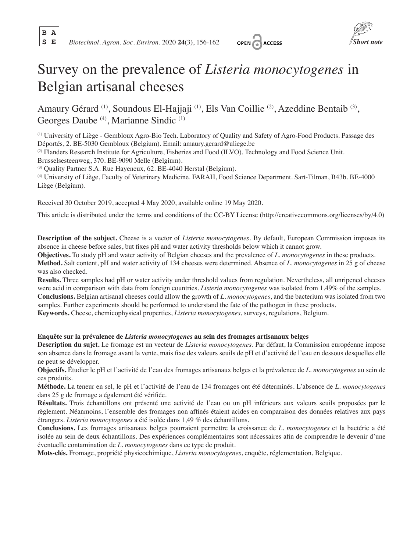**B A**



# Survey on the prevalence of *Listeria monocytogenes* in Belgian artisanal cheeses

Amaury Gérard (1), Soundous El-Hajjaji (1), Els Van Coillie (2), Azeddine Bentaib (3), Georges Daube (4), Marianne Sindic (1)

(1) University of Liège - Gembloux Agro-Bio Tech. Laboratory of Quality and Safety of Agro-Food Products. Passage des Déportés, 2. BE-5030 Gembloux (Belgium). Email: amaury.gerard@uliege.be

(2) Flanders Research Institute for Agriculture, Fisheries and Food (ILVO). Technology and Food Science Unit. Brusselsesteenweg, 370. BE-9090 Melle (Belgium).

(3) Quality Partner S.A. Rue Hayeneux, 62. BE-4040 Herstal (Belgium).

(4) University of Liège, Faculty of Veterinary Medicine. FARAH, Food Science Department. Sart-Tilman, B43b. BE-4000 Liège (Belgium).

Received 30 October 2019, accepted 4 May 2020, available online 19 May 2020.

This article is distributed under the terms and conditions of the CC-BY License (http://creativecommons.org/licenses/by/4.0)

**Description of the subject.** Cheese is a vector of *Listeria monocytogenes*. By default, European Commission imposes its absence in cheese before sales, but fixes pH and water activity thresholds below which it cannot grow.

**Objectives.** To study pH and water activity of Belgian cheeses and the prevalence of *L. monocytogenes* in these products. **Method.** Salt content, pH and water activity of 134 cheeses were determined. Absence of *L. monocytogenes* in 25 g of cheese was also checked.

**Results.** Three samples had pH or water activity under threshold values from regulation. Nevertheless, all unripened cheeses were acid in comparison with data from foreign countries. *Listeria monocytogenes* was isolated from 1.49% of the samples. **Conclusions.** Belgian artisanal cheeses could allow the growth of *L. monocytogenes*, and the bacterium was isolated from two samples. Further experiments should be performed to understand the fate of the pathogen in these products.

**Keywords.** Cheese, chemicophysical properties, *Listeria monocytogenes*, surveys, regulations, Belgium.

## **Enquête sur la prévalence de** *Listeria monocytogenes* **au sein des fromages artisanaux belges**

**Description du sujet.** Le fromage est un vecteur de *Listeria monocytogenes*. Par défaut, la Commission européenne impose son absence dans le fromage avant la vente, mais fixe des valeurs seuils de pH et d'activité de l'eau en dessous desquelles elle ne peut se développer.

**Objectifs.** Étudier le pH et l'activité de l'eau des fromages artisanaux belges et la prévalence de *L. monocytogenes* au sein de ces produits.

**Méthode.** La teneur en sel, le pH et l'activité de l'eau de 134 fromages ont été déterminés. L'absence de *L. monocytogenes* dans 25 g de fromage a également été vérifiée.

**Résultats.** Trois échantillons ont présenté une activité de l'eau ou un pH inférieurs aux valeurs seuils proposées par le règlement. Néanmoins, l'ensemble des fromages non affinés étaient acides en comparaison des données relatives aux pays étrangers. *Listeria monocytogenes* a été isolée dans 1,49 % des échantillons.

**Conclusions.** Les fromages artisanaux belges pourraient permettre la croissance de *L. monocytogenes* et la bactérie a été isolée au sein de deux échantillons. Des expériences complémentaires sont nécessaires afin de comprendre le devenir d'une éventuelle contamination de *L. monocytogenes* dans ce type de produit.

**Mots-clés.** Fromage, propriété physicochimique, *Listeria monocytogenes*, enquête, réglementation, Belgique.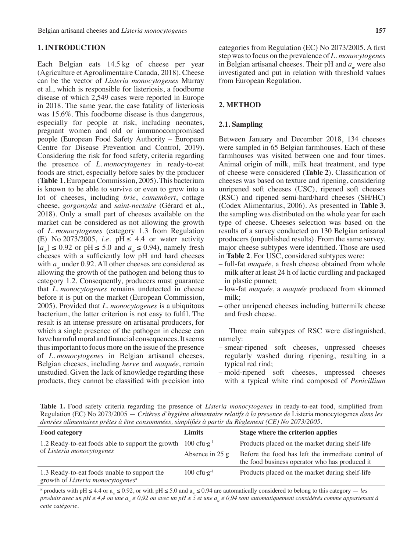## **1. INTRODUCTION**

Each Belgian eats 14.5 kg of cheese per year (Agriculture et Agroalimentaire Canada, 2018). Cheese can be the vector of *Listeria monocytogenes* Murray et al., which is responsible for listeriosis, a foodborne disease of which 2,549 cases were reported in Europe in 2018. The same year, the case fatality of listeriosis was 15.6%. This foodborne disease is thus dangerous, especially for people at risk, including neonates, pregnant women and old or immunocompromised people (European Food Safety Authority – European Centre for Disease Prevention and Control, 2019). Considering the risk for food safety, criteria regarding the presence of *L. monocytogenes* in ready-to-eat foods are strict, especially before sales by the producer (**Table 1**, European Commission, 2005). This bacterium is known to be able to survive or even to grow into a lot of cheeses, including *brie*, *camembert*, cottage cheese, *gorgonzola* and *saint-nectaire* (Gérard et al., 2018). Only a small part of cheeses available on the market can be considered as not allowing the growth of *L. monocytogenes* (category 1.3 from Regulation (E) No  $2073/2005$ , *i.e.* pH  $\leq 4.4$  or water activity  $[a_{\text{m}}] \leq 0.92$  or pH  $\leq 5.0$  and  $a_{\text{m}} \leq 0.94$ ), namely fresh cheeses with a sufficiently low pH and hard cheeses with  $a_w$  under 0.92. All other cheeses are considered as allowing the growth of the pathogen and belong thus to category 1.2. Consequently, producers must guarantee that *L. monocytogenes* remains undetected in cheese before it is put on the market (European Commission, 2005). Provided that *L. monocytogenes* is a ubiquitous bacterium, the latter criterion is not easy to fulfil. The result is an intense pressure on artisanal producers, for which a single presence of the pathogen in cheese can have harmful moral and financial consequences. It seems thus important to focus more on the issue of the presence of *L. monocytogenes* in Belgian artisanal cheeses. Belgian cheeses, including *herve* and *maquée*, remain unstudied. Given the lack of knowledge regarding these products, they cannot be classified with precision into

categories from Regulation (EC) No 2073/2005. A first step was to focus on the prevalence of *L. monocytogenes* in Belgian artisanal cheeses. Their pH and *a*<sub>w</sub> were also investigated and put in relation with threshold values from European Regulation.

## **2. METHOD**

## **2.1. Sampling**

Between January and December 2018, 134 cheeses were sampled in 65 Belgian farmhouses. Each of these farmhouses was visited between one and four times. Animal origin of milk, milk heat treatment, and type of cheese were considered (**Table 2**). Classification of cheeses was based on texture and ripening, considering unripened soft cheeses (USC), ripened soft cheeses (RSC) and ripened semi-hard/hard cheeses (SH/HC) (Codex Alimentarius, 2006). As presented in **Table 3**, the sampling was distributed on the whole year for each type of cheese. Cheeses selection was based on the results of a survey conducted on 130 Belgian artisanal producers (unpublished results). From the same survey, major cheese subtypes were identified. Those are used in **Table 2**. For USC, considered subtypes were:

- full-fat *maquée*, a fresh cheese obtained from whole milk after at least 24 h of lactic curdling and packaged in plastic punnet;
- low-fat *maquée*, a *maquée* produced from skimmed milk;
- other unripened cheeses including buttermilk cheese and fresh cheese.

Three main subtypes of RSC were distinguished, namely:

- smear-ripened soft cheeses, unpressed cheeses regularly washed during ripening, resulting in a typical red rind;
- mold-ripened soft cheeses, unpressed cheeses with a typical white rind composed of *Penicillium*

**Table 1.** Food safety criteria regarding the presence of *Listeria monocytogenes* in ready-to-eat food, simplified from Regulation (EC) No 2073/2005 — *Critères d'hygiène alimentaire relatifs à la presence de* Listeria monocytogenes *dans les denrées alimentaires prêtes à être consommées, simplifiés à partir du Règlement (CE) No 2073/2005*.

| <b>Food category</b>                                                                          | Limits                                     | Stage where the criterion applies                                                                   |  |  |
|-----------------------------------------------------------------------------------------------|--------------------------------------------|-----------------------------------------------------------------------------------------------------|--|--|
| 1.2 Ready-to-eat foods able to support the growth                                             | $100 \text{ c}$ fu $\cdot$ g <sup>-1</sup> | Products placed on the market during shelf-life                                                     |  |  |
| of Listeria monocytogenes                                                                     | Absence in $25 g$                          | Before the food has left the immediate control of<br>the food business operator who has produced it |  |  |
| 1.3 Ready-to-eat foods unable to support the<br>growth of Listeria monocytogenes <sup>a</sup> | $100 \text{ cfu·g}^{-1}$                   | Products placed on the market during shelf-life                                                     |  |  |

<sup>a:</sup> products with pH  $\leq$  4.4 or a<sub>w</sub>  $\leq$  0.92, or with pH  $\leq$  5.0 and a<sub>w</sub>  $\leq$  0.94 are automatically considered to belong to this category — *les produits avec un pH ≤ 4,4 ou une a<sub>w</sub> ≤ 0,92 ou avec un pH ≤ 5 et une a<sub>w</sub> ≤ 0,94 sont automatiquement considérés comme appartenant à cette catégorie.*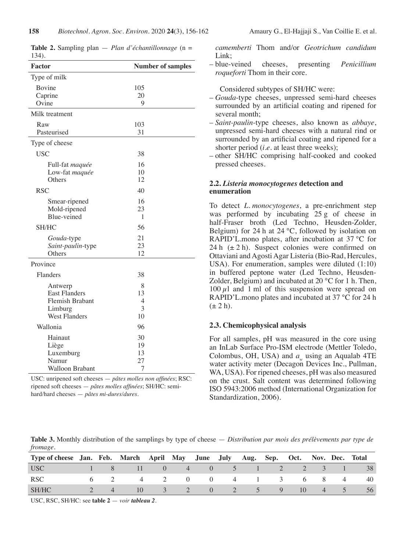| 1 J T J .            |                          |  |  |  |  |  |
|----------------------|--------------------------|--|--|--|--|--|
| Factor               | <b>Number of samples</b> |  |  |  |  |  |
| Type of milk         |                          |  |  |  |  |  |
| Bovine               | 105                      |  |  |  |  |  |
| Caprine              | 20                       |  |  |  |  |  |
| Ovine                | 9                        |  |  |  |  |  |
| Milk treatment       |                          |  |  |  |  |  |
| Raw                  | 103                      |  |  |  |  |  |
| Pasteurised          | 31                       |  |  |  |  |  |
| Type of cheese       |                          |  |  |  |  |  |
| <b>USC</b>           | 38                       |  |  |  |  |  |
| Full-fat maquée      | 16                       |  |  |  |  |  |
| Low-fat maquée       | 10                       |  |  |  |  |  |
| Others               | 12                       |  |  |  |  |  |
| <b>RSC</b>           | 40                       |  |  |  |  |  |
| Smear-ripened        | 16                       |  |  |  |  |  |
| Mold-ripened         | 23                       |  |  |  |  |  |
| Blue-veined          | 1                        |  |  |  |  |  |
| SH/HC                | 56                       |  |  |  |  |  |
| Gouda-type           | 21                       |  |  |  |  |  |
| Saint-paulin-type    | 23                       |  |  |  |  |  |
| Others               | 12                       |  |  |  |  |  |
| Province             |                          |  |  |  |  |  |
| Flanders             | 38                       |  |  |  |  |  |
| Antwerp              | 8                        |  |  |  |  |  |
| <b>East Flanders</b> | 13                       |  |  |  |  |  |
| Flemish Brabant      | $\overline{4}$           |  |  |  |  |  |
| Limburg              | 3                        |  |  |  |  |  |
| <b>West Flanders</b> | 10                       |  |  |  |  |  |
| Wallonia             | 96                       |  |  |  |  |  |
| Hainaut              | 30                       |  |  |  |  |  |
| Liège                | 19                       |  |  |  |  |  |
| Luxemburg            | 13                       |  |  |  |  |  |
| Namur                | 27                       |  |  |  |  |  |
| Walloon Brabant      | 7                        |  |  |  |  |  |

**Table 2.** Sampling plan — *Plan d'échantillonnage* (n = 134).

USC: unripened soft cheeses — *pâtes molles non affinées*; RSC: ripened soft cheeses — *pâtes molles affinées*; SH/HC: semihard/hard cheeses — *pâtes mi-dures/dures.*

*camemberti* Thom and/or *Geotrichum candidum* Link;

– blue-veined cheeses, presenting *Penicillium roqueforti* Thom in their core.

Considered subtypes of SH/HC were:

- *Gouda*-type cheeses, unpressed semi-hard cheeses surrounded by an artificial coating and ripened for several month;
- *Saint-paulin*-type cheeses, also known as *abbaye*, unpressed semi-hard cheeses with a natural rind or surrounded by an artificial coating and ripened for a shorter period (*i.e.* at least three weeks);
- other SH/HC comprising half-cooked and cooked pressed cheeses.

# **2.2.** *Listeria monocytogenes* **detection and enumeration**

To detect *L. monocytogenes*, a pre-enrichment step was performed by incubating 25 g of cheese in half-Fraser broth (Led Techno, Heusden-Zolder, Belgium) for 24 h at 24 °C, followed by isolation on RAPID'L.mono plates, after incubation at 37 °C for 24 h  $(\pm 2 h)$ . Suspect colonies were confirmed on Ottaviani and Agosti Agar Listeria (Bio-Rad, Hercules, USA). For enumeration, samples were diluted (1:10) in buffered peptone water (Led Techno, Heusden-Zolder, Belgium) and incubated at 20 °C for 1 h. Then,  $100 \mu l$  and 1 ml of this suspension were spread on RAPID'L.mono plates and incubated at 37 °C for 24 h  $(\pm 2 h)$ .

# **2.3. Chemicophysical analysis**

For all samples, pH was measured in the core using an InLab Surface Pro-ISM electrode (Mettler Toledo, Colombus, OH, USA) and *a* using an Aqualab 4TE water activity meter (Decagon Devices Inc., Pullman, WA, USA). For ripened cheeses, pH was also measured on the crust. Salt content was determined following ISO 5943:2006 method (International Organization for Standardization, 2006).

**Table 3.** Monthly distribution of the samplings by type of cheese — *Distribution par mois des prélèvements par type de fromage.*

| Type of cheese Jan. Feb. March April May June July Aug. Sep. Oct. Nov. Dec. Total      |          |                             |  |  |                    |  |      |
|----------------------------------------------------------------------------------------|----------|-----------------------------|--|--|--------------------|--|------|
| USC –                                                                                  |          | 1 8 11 0 4 0 5 1 2 2 3 1 38 |  |  |                    |  |      |
| RSC                                                                                    |          | 6 2 4 2 0 0 4 1 3 6 8 4     |  |  |                    |  | - 40 |
| SH/HC                                                                                  | $\sim$ 4 | $\sim$ 10                   |  |  | 3 2 0 2 5 9 10 4 5 |  | - 56 |
| المالية المستحدث والمستحدث والمستحدث والمستحدث والمستحدث والمستحدث والمستحدث والمستحدث |          |                             |  |  |                    |  |      |

USC, RSC, SH/HC: see **table 2** — *voir tableau 2*.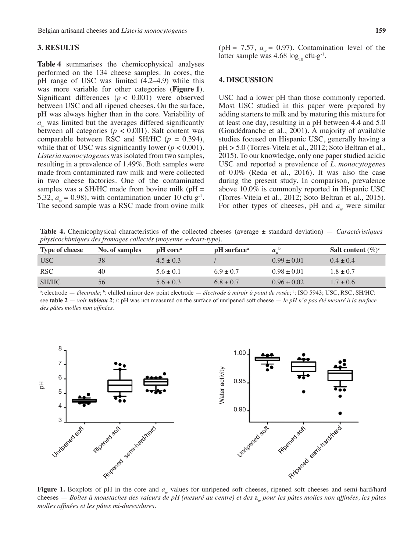## **3. RESULTS**

**Table 4** summarises the chemicophysical analyses performed on the 134 cheese samples. In cores, the pH range of USC was limited (4.2–4.9) while this was more variable for other categories (**Figure 1**). Significant differences  $(p < 0.001)$  were observed between USC and all ripened cheeses. On the surface, pH was always higher than in the core. Variability of *a*<sub>w</sub> was limited but the averages differed significantly between all categories  $(p < 0.001)$ . Salt content was comparable between RSC and SH/HC (*p* = 0.394), while that of USC was significantly lower  $(p < 0.001)$ . *Listeria monocytogenes* was isolated from two samples, resulting in a prevalence of 1.49%. Both samples were made from contaminated raw milk and were collected in two cheese factories. One of the contaminated samples was a SH/HC made from bovine milk ( $pH =$ 5.32,  $a_{\text{m}} = 0.98$ ), with contamination under 10 cfu.g<sup>-1</sup>. The second sample was a RSC made from ovine milk (pH = 7.57,  $a_w = 0.97$ ). Contamination level of the latter sample was 4.68  $\log_{10}$  cfu.g<sup>-1</sup>.

## **4. DISCUSSION**

USC had a lower pH than those commonly reported. Most USC studied in this paper were prepared by adding starters to milk and by maturing this mixture for at least one day, resulting in a pH between 4.4 and 5.0 (Goudédranche et al., 2001). A majority of available studies focused on Hispanic USC, generally having a pH > 5.0 (Torres-Vitela et al., 2012; Soto Beltran et al., 2015). To our knowledge, only one paper studied acidic USC and reported a prevalence of *L. monocytogenes* of 0.0% (Reda et al., 2016). It was also the case during the present study. In comparison, prevalence above 10.0% is commonly reported in Hispanic USC (Torres-Vitela et al., 2012; Soto Beltran et al., 2015). For other types of cheeses, pH and  $a_{\mu}$  were similar

**Table 4.** Chemicophysical characteristics of the collected cheeses (average ± standard deviation) — *Caractéristiques physicochimiques des fromages collectés (moyenne ± écart-type).*

| <b>Type of cheese</b> | No. of samples | pH core <sup>a</sup> | <b>pH</b> surface <sup>a</sup> | a <sup>b</sup>  | <b>Salt content</b> $(\%)^c$ |
|-----------------------|----------------|----------------------|--------------------------------|-----------------|------------------------------|
| <b>USC</b>            | 38             | $4.5 \pm 0.3$        |                                | $0.99 \pm 0.01$ | $0.4 \pm 0.4$                |
| <b>RSC</b>            | 40             | $5.6 \pm 0.1$        | $6.9 \pm 0.7$                  | $0.98 \pm 0.01$ | $1.8 \pm 0.7$                |
| SH/HC                 | 56             | $5.6 \pm 0.3$        | $6.8 \pm 0.7$                  | $0.96 \pm 0.02$ | $1.7 \pm 0.6$                |

<sup>a</sup>: electrode *— électrode*; <sup>b</sup>: chilled mirror dew point electrode *— électrode à miroir à point de rosée*; <sup>c</sup>: ISO 5943; USC, RSC, SH/HC: see **table 2** — *voir tableau 2*; /: pH was not measured on the surface of unripened soft cheese — *le pH n'a pas été mesuré à la surface des pâtes molles non affinées.*



**Figure** 1. Boxplots of pH in the core and *a<sub>w</sub>* values for unripened soft cheeses, ripened soft cheeses and semi-hard/hard cheeses — *Boîtes à moustaches des valeurs de pH (mesuré au centre) et des* a<sub>w</sub> pour les pâtes molles non affinées, les pâtes *molles affinées et les pâtes mi-dures/dures.*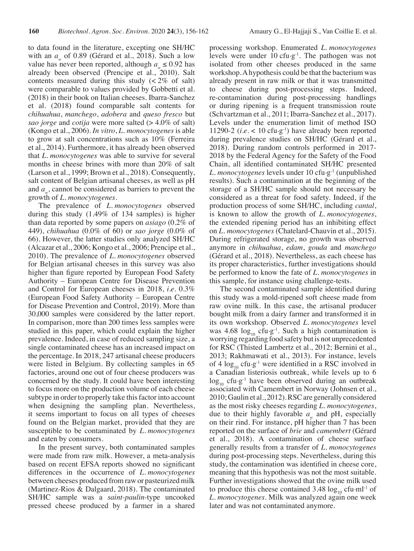to data found in the literature, excepting one SH/HC with an *a<sub>w</sub>* of 0.89 (Gérard et al., 2018). Such a low value has never been reported, although  $a_{\mu} \le 0.92$  has already been observed (Prencipe et al., 2010). Salt contents measured during this study  $\left( < 2\% \text{ of salt} \right)$ were comparable to values provided by Gobbetti et al. (2018) in their book on Italian cheeses. Ibarra-Sanchez et al. (2018) found comparable salt contents for *chihuahua*, *manchego*, *adobera* and *queso fresco* but *sao jorge* and *cotija* were more salted (> 4.0% of salt) (Kongo et al., 2006). *In vitro*, *L. monocytogenes* is able to grow at salt concentrations such as 10% (Ferreira et al., 2014). Furthermore, it has already been observed that *L. monocytogenes* was able to survive for several months in cheese brines with more than 20% of salt (Larson et al., 1999; Brown et al., 2018). Consequently, salt content of Belgian artisanal cheeses, as well as pH and *a<sub>w</sub>*, cannot be considered as barriers to prevent the growth of *L. monocytogenes*.

The prevalence of *L. monocytogenes* observed during this study (1.49% of 134 samples) is higher than data reported by some papers on *asiago* (0.2% of 449), *chihuahua* (0.0% of 60) or *sao jorge* (0.0% of 66). However, the latter studies only analyzed SH/HC (Alcazar et al., 2006; Kongo et al., 2006; Prencipe et al., 2010). The prevalence of *L. monocytogenes* observed for Belgian artisanal cheeses in this survey was also higher than figure reported by European Food Safety Authority – European Centre for Disease Prevention and Control for European cheeses in 2018, *i.e.* 0.3% (European Food Safety Authority – European Centre for Disease Prevention and Control, 2019). More than 30,000 samples were considered by the latter report. In comparison, more than 200 times less samples were studied in this paper, which could explain the higher prevalence. Indeed, in case of reduced sampling size, a single contaminated cheese has an increased impact on the percentage. In 2018, 247 artisanal cheese producers were listed in Belgium. By collecting samples in 65 factories, around one out of four cheese producers was concerned by the study. It could have been interesting to focus more on the production volume of each cheese subtype in order to properly take this factor into account when designing the sampling plan. Nevertheless, it seems important to focus on all types of cheeses found on the Belgian market, provided that they are susceptible to be contaminated by *L. monocytogenes* and eaten by consumers.

In the present survey, both contaminated samples were made from raw milk. However, a meta-analysis based on recent EFSA reports showed no significant differences in the occurrence of *L. monocytogenes* between cheeses produced from raw or pasteurized milk (Martinez-Rios & Dalgaard, 2018). The contaminated SH/HC sample was a *saint-paulin*-type uncooked pressed cheese produced by a farmer in a shared

processing workshop. Enumerated *L. monocytogenes* levels were under 10 cfu $\cdot$ g<sup>-1</sup>. The pathogen was not isolated from other cheeses produced in the same workshop. A hypothesis could be that the bacterium was already present in raw milk or that it was transmitted to cheese during post-processing steps. Indeed, re-contamination during post-processing handlings or during ripening is a frequent transmission route (Schvartzman et al., 2011; Ibarra-Sanchez et al., 2017). Levels under the enumeration limit of method ISO 11290-2 (*i.e.*  $\lt$  10 cfu·g<sup>-1</sup>) have already been reported during prevalence studies on SH/HC (Gérard et al., 2018). During random controls performed in 2017- 2018 by the Federal Agency for the Safety of the Food Chain, all identified contaminated SH/HC presented *L. monocytogenes* levels under 10 cfu.g-1 (unpublished results). Such a contamination at the beginning of the storage of a SH/HC sample should not necessary be considered as a threat for food safety. Indeed, if the production process of some SH/HC, including *cantal*, is known to allow the growth of *L. monocytogenes*, the extended ripening period has an inhibiting effect on *L. monocytogenes* (Chatelard-Chauvin et al., 2015). During refrigerated storage, no growth was observed anymore in *chihuahua*, *edam*, *gouda* and *manchego* (Gérard et al., 2018). Nevertheless, as each cheese has its proper characteristics, further investigations should be performed to know the fate of *L. monocytogenes* in this sample, for instance using challenge-tests.

The second contaminated sample identified during this study was a mold-ripened soft cheese made from raw ovine milk. In this case, the artisanal producer bought milk from a dairy farmer and transformed it in its own workshop. Observed *L. monocytogenes* level was 4.68  $\log_{10}$  cfu $\cdot$ g<sup>-1</sup>. Such a high contamination is worrying regarding food safety but is not unprecedented for RSC (Thisted Lambertz et al., 2012; Bernini et al., 2013; Rakhmawati et al., 2013). For instance, levels of 4  $\log_{10}$  cfu.g<sup>-1</sup> were identified in a RSC involved in a Canadian listeriosis outbreak, while levels up to 6  $\log_{10}$  cfu $\cdot$ g<sup>-1</sup> have been observed during an outbreak associated with Camembert in Norway (Johnsen et al., 2010; Gaulin et al., 2012). RSC are generally considered as the most risky cheeses regarding *L. monocytogenes*, due to their highly favorable  $a_{\mu}$  and pH, especially on their rind. For instance, pH higher than 7 has been reported on the surface of *brie* and *camembert* (Gérard et al., 2018). A contamination of cheese surface generally results from a transfer of *L. monocytogenes* during post-processing steps. Nevertheless, during this study, the contamination was identified in cheese core, meaning that this hypothesis was not the most suitable. Further investigations showed that the ovine milk used to produce this cheese contained  $3.48 \log_{10}$  cfu $\cdot$ ml<sup>-1</sup> of *L. monocytogenes*. Milk was analyzed again one week later and was not contaminated anymore.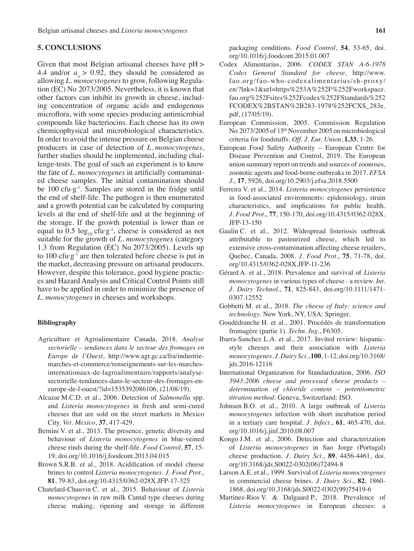## **5. CONCLUSIONS**

Given that most Belgian artisanal cheeses have pH > 4.4 and/or  $a > 0.92$ , they should be considered as allowing *L. monocytogenes* to grow, following Regulation (EC) No 2073/2005. Nevertheless, it is known that other factors can inhibit its growth in cheese, including concentration of organic acids and endogenous microflora, with some species producing antimicrobial compounds like bacteriocins. Each cheese has its own chemicophysical and microbiological characteristics. In order to avoid the intense pressure on Belgian cheese producers in case of detection of *L. monocytogenes*, further studies should be implemented, including challenge-tests. The goal of such an experiment is to know the fate of *L. monocytogenes* in artificially contaminated cheese samples. The initial contamination should be  $100 \text{ cfu} \cdot g^{-1}$ . Samples are stored in the fridge until the end of shelf-life. The pathogen is then enumerated and a growth potential can be calculated by comparing levels at the end of shelf-life and at the beginning of the storage. If the growth potential is lower than or equal to 0.5  $\log_{10}$  cfu·g<sup>-1</sup>, cheese is considered as not suitable for the growth of *L. monocytogenes* (category 1.3 from Regulation (EC) No 2073/2005). Levels up to 100 cfu·g<sup>-1</sup> are then tolerated before cheese is put in the market, decreasing pressure on artisanal producers. However, despite this tolerance, good hygiene practices and Hazard Analysis and Critical Control Points still have to be applied in order to minimize the presence of *L. monocytogenes* in cheeses and workshops.

## **Bibliography**

- Agriculture et Agroalimentaire Canada, 2018. *Analyse sectorielle – tendances dans le secteur des fromages en Europe de l'Ouest*, http://www.agr.gc.ca/fra/industriemarches-et-commerce/renseignements-sur-les-marchesinternationaux-de-lagroalimentaire/rapports/analysesectorielle-tendances-dans-le-secteur-des-fromages-eneurope-de-l-ouest/?id=1535392086106, (21/08/19).
- Alcazar M.C.D. et al., 2006. Detection of *Salmonella* spp. and *Listeria monocytogenes* in fresh and semi-cured cheeses that are sold on the street markets in Mexico City. *Vet. Mexico*, **37**, 417-429.
- Bernini V. et al., 2013. The presence, genetic diversity and behaviour of *Listeria monocytogenes* in blue-veined cheese rinds during the shelf-life. *Food Control*, **57**, 15- 19, doi.org/10.1016/j.foodcont.2013.04.015
- Brown S.R.B. et al., 2018. Acidification of model cheese brines to control *Listeria monocytogenes*. *J. Food Prot*., **81**, 79-83, doi.org/10.4315/0362-028X.JFP-17-325
- Chatelard-Chauvin C. et al., 2015. Behaviour of *Listeria monocytogenes* in raw milk Cantal type cheeses during cheese making, ripening and storage in different

packaging conditions. *Food Control*, **54**, 53-65, doi. org/10.1016/j.foodcont.2015.01.007

- Codex Alimentarius, 2006. *CODEX STAN A-6-1978 Codex General Standard for cheese*, http://www. fao.org/fao-who-codexalimentarius/sh-proxy/ en/?lnk=1&url=https%253A%252F%252Fworkspace. fao.org%252Fsites%252Fcodex%252FStandards%252 FCODEX%2BSTAN%2B283-1978%252FCXS\_283e. pdf, (17/05/19).
- European Commission, 2005. Commission Regulation No 2073/2005 of 15th November 2005 on microbiological criteria for foodstuffs. *Off. J. Eur. Union*, **L33**, 1-26.
- European Food Safety Authority European Centre for Disease Prevention and Control, 2019. The European union summary report on trends and sources of zoonoses, zoonotic agents and food-borne outbreaks in 2017. *EFSA J*., **17**, 5926, doi.org/10.2903/j.efsa.2018.5500
- Ferreira V. et al., 2014. *Listeria monocytogenes* persistence in food-associated environments: epidemiology, strain characteristics, and implications for public health. *J. Food Prot*., **77**, 150-170, doi.org/10.4315/0362-028X. JFP-13-150
- Gaulin C. et al., 2012. Widespread listeriosis outbreak attributable to pasteurized cheese, which led to extensive cross-contamination affecting cheese retailers, Quebec, Canada, 2008. *J. Food Prot*., **75**, 71-78, doi. org/10.4315/0362-028X.JFP-11-236
- Gérard A. et al., 2018. Prevalence and survival of *Listeria monocytogenes* in various types of cheese - a review. *Int. J. Dairy Technol*., **71**, 825-843, doi.org/10.1111/1471- 0307.12552
- Gobbetti M. et al., 2018. *The cheese of Italy: science and technology*. New York, NY, USA: Springer.
- Goudédranche H. et al., 2001. Procédés de transformation fromagère (partie 1). *Techn. Ing*., F6305.
- Ibarra-Sanchez L.A. et al., 2017. Invited review: hispanicstyle cheeses and their association with *Listeria monocytogenes*. *J. Dairy Sci*., **100**, 1-12, doi.org/10.3168/ jds.2016-12116
- International Organization for Standardization, 2006. *ISO 5943:2006 cheese and processed cheese products – determination of chloride content – potentiometric titration method*. Geneva, Switzerland: ISO.
- Johnsen B.O. et al., 2010. A large outbreak of *Listeria monocytogenes* infection with short incubation period in a tertiary care hospital. *J. Infect*., **61**, 465-470, doi. org/10.1016/j.jinf.2010.08.007
- Kongo J.M. et al., 2006. Detection and characterization of *Listeria monocytogenes* in Sao Jorge (Portugal) cheese production. *J. Dairy Sci*., **89**, 4456-4461, doi. org/10.3168/jds.S0022-0302(06)72494-8
- Larson A.E. et al., 1999. Survival of *Listeria monocytogenes* in commercial cheese brines. *J. Dairy Sci.*, **82**, 1860- 1868, doi.org/10.3168/jds.S0022-0302(99)75419-6
- Martinez-Rios V. & Dalgaard P., 2018. Prevalence of *Listeria monocytogenes* in European cheeses: a